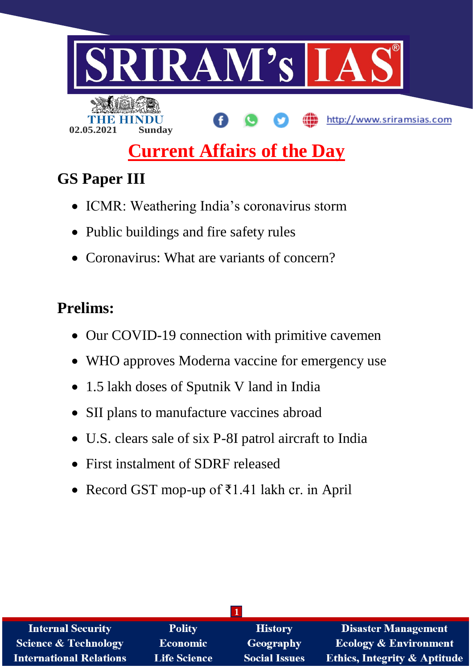

# **Current Affairs of the Day**

## **GS Paper III**

- ICMR: Weathering India's coronavirus storm
- Public buildings and fire safety rules
- Coronavirus: What are variants of concern?

## **Prelims:**

- Our COVID-19 connection with primitive cavemen
- WHO approves Moderna vaccine for emergency use
- 1.5 lakh doses of Sputnik V land in India
- SII plans to manufacture vaccines abroad
- U.S. clears sale of six P-8I patrol aircraft to India
- First instalment of SDRF released
- Record GST mop-up of ₹1.41 lakh cr. in April

| <b>Internal Security</b>        | <b>Polity</b>       | <b>History</b>       | <b>Disaster Management</b>              |
|---------------------------------|---------------------|----------------------|-----------------------------------------|
| <b>Science &amp; Technology</b> | <b>Economic</b>     | <b>Geography</b>     | <b>Ecology &amp; Environment</b>        |
| <b>International Relations</b>  | <b>Life Science</b> | <b>Social Issues</b> | <b>Ethics, Integrity &amp; Aptitude</b> |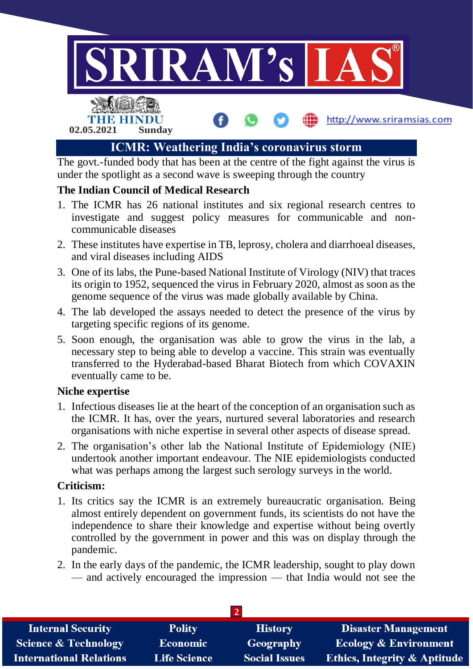

under the spotlight as a second wave is sweeping through the country

## **The Indian Council of Medical Research**

- 1. The ICMR has 26 national institutes and six regional research centres to investigate and suggest policy measures for communicable and noncommunicable diseases
- 2. These institutes have expertise in TB, leprosy, cholera and diarrhoeal diseases, and viral diseases including AIDS
- 3. One of its labs, the Pune-based National Institute of Virology (NIV) that traces its origin to 1952, sequenced the virus in February 2020, almost as soon as the genome sequence of the virus was made globally available by China.
- 4. The lab developed the assays needed to detect the presence of the virus by targeting specific regions of its genome.
- 5. Soon enough, the organisation was able to grow the virus in the lab, a necessary step to being able to develop a vaccine. This strain was eventually transferred to the Hyderabad-based Bharat Biotech from which COVAXIN eventually came to be.

## **Niche expertise**

- 1. Infectious diseases lie at the heart of the conception of an organisation such as the ICMR. It has, over the years, nurtured several laboratories and research organisations with niche expertise in several other aspects of disease spread.
- 2. The organisation's other lab the National Institute of Epidemiology (NIE) undertook another important endeavour. The NIE epidemiologists conducted what was perhaps among the largest such serology surveys in the world.

## **Criticism:**

- 1. Its critics say the ICMR is an extremely bureaucratic organisation. Being almost entirely dependent on government funds, its scientists do not have the independence to share their knowledge and expertise without being overtly controlled by the government in power and this was on display through the pandemic.
- 2. In the early days of the pandemic, the ICMR leadership, sought to play down — and actively encouraged the impression — that India would not see the

| <b>Internal Security</b>        | <b>Polity</b>       | <b>History</b>       | <b>Disaster Management</b>              |  |  |
|---------------------------------|---------------------|----------------------|-----------------------------------------|--|--|
| <b>Science &amp; Technology</b> | <b>Economic</b>     | Geography            | <b>Ecology &amp; Environment</b>        |  |  |
| <b>International Relations</b>  | <b>Life Science</b> | <b>Social Issues</b> | <b>Ethics, Integrity &amp; Aptitude</b> |  |  |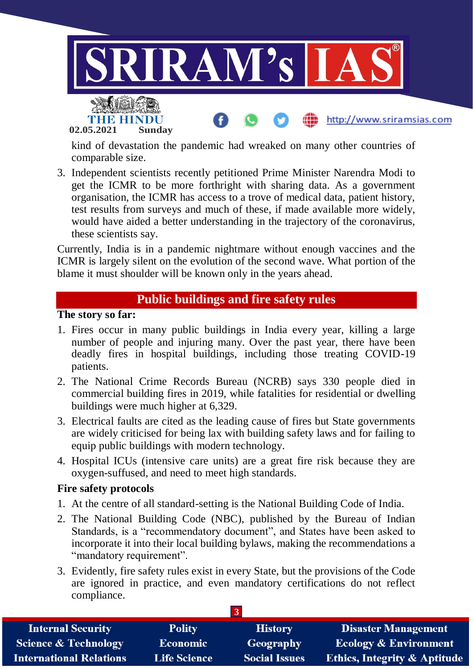

**02.05.2021 Sunday**

kind of devastation the pandemic had wreaked on many other countries of comparable size.

3. Independent scientists recently petitioned Prime Minister Narendra Modi to get the ICMR to be more forthright with sharing data. As a government organisation, the ICMR has access to a trove of medical data, patient history, test results from surveys and much of these, if made available more widely, would have aided a better understanding in the trajectory of the coronavirus, these scientists say.

Currently, India is in a pandemic nightmare without enough vaccines and the ICMR is largely silent on the evolution of the second wave. What portion of the blame it must shoulder will be known only in the years ahead.

## **Public buildings and fire safety rules**

#### **The story so far:**

- 1. Fires occur in many public buildings in India every year, killing a large number of people and injuring many. Over the past year, there have been deadly fires in hospital buildings, including those treating COVID-19 patients.
- 2. The National Crime Records Bureau (NCRB) says 330 people died in commercial building fires in 2019, while fatalities for residential or dwelling buildings were much higher at 6,329.
- 3. Electrical faults are cited as the leading cause of fires but State governments are widely criticised for being lax with building safety laws and for failing to equip public buildings with modern technology.
- 4. Hospital ICUs (intensive care units) are a great fire risk because they are oxygen-suffused, and need to meet high standards.

#### **Fire safety protocols**

- 1. At the centre of all standard-setting is the National Building Code of India.
- 2. The National Building Code (NBC), published by the Bureau of Indian Standards, is a "recommendatory document", and States have been asked to incorporate it into their local building bylaws, making the recommendations a "mandatory requirement".
- 3. Evidently, fire safety rules exist in every State, but the provisions of the Code are ignored in practice, and even mandatory certifications do not reflect compliance.

| <b>Internal Security</b>        | <b>Polity</b>       | <b>History</b>       | <b>Disaster Management</b>              |  |
|---------------------------------|---------------------|----------------------|-----------------------------------------|--|
| <b>Science &amp; Technology</b> | <b>Economic</b>     | Geography            | <b>Ecology &amp; Environment</b>        |  |
| <b>International Relations</b>  | <b>Life Science</b> | <b>Social Issues</b> | <b>Ethics, Integrity &amp; Aptitude</b> |  |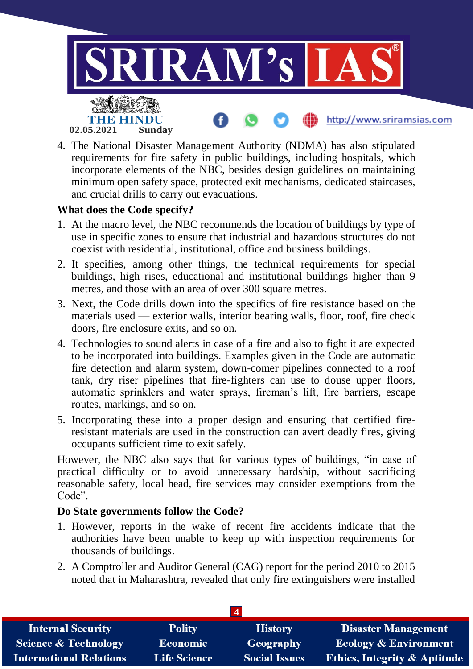

4. The National Disaster Management Authority (NDMA) has also stipulated requirements for fire safety in public buildings, including hospitals, which incorporate elements of the NBC, besides design guidelines on maintaining minimum open safety space, protected exit mechanisms, dedicated staircases, and crucial drills to carry out evacuations.

## **What does the Code specify?**

- 1. At the macro level, the NBC recommends the location of buildings by type of use in specific zones to ensure that industrial and hazardous structures do not coexist with residential, institutional, office and business buildings.
- 2. It specifies, among other things, the technical requirements for special buildings, high rises, educational and institutional buildings higher than 9 metres, and those with an area of over 300 square metres.
- 3. Next, the Code drills down into the specifics of fire resistance based on the materials used — exterior walls, interior bearing walls, floor, roof, fire check doors, fire enclosure exits, and so on.
- 4. Technologies to sound alerts in case of a fire and also to fight it are expected to be incorporated into buildings. Examples given in the Code are automatic fire detection and alarm system, down-comer pipelines connected to a roof tank, dry riser pipelines that fire-fighters can use to douse upper floors, automatic sprinklers and water sprays, fireman's lift, fire barriers, escape routes, markings, and so on.
- 5. Incorporating these into a proper design and ensuring that certified fireresistant materials are used in the construction can avert deadly fires, giving occupants sufficient time to exit safely.

However, the NBC also says that for various types of buildings, "in case of practical difficulty or to avoid unnecessary hardship, without sacrificing reasonable safety, local head, fire services may consider exemptions from the Code".

## **Do State governments follow the Code?**

- 1. However, reports in the wake of recent fire accidents indicate that the authorities have been unable to keep up with inspection requirements for thousands of buildings.
- 2. A Comptroller and Auditor General (CAG) report for the period 2010 to 2015 noted that in Maharashtra, revealed that only fire extinguishers were installed

| <b>Internal Security</b>        | <b>Polity</b>       | <b>History</b>       | <b>Disaster Management</b>              |  |  |
|---------------------------------|---------------------|----------------------|-----------------------------------------|--|--|
| <b>Science &amp; Technology</b> | <b>Economic</b>     | Geography            | <b>Ecology &amp; Environment</b>        |  |  |
| <b>International Relations</b>  | <b>Life Science</b> | <b>Social Issues</b> | <b>Ethics, Integrity &amp; Aptitude</b> |  |  |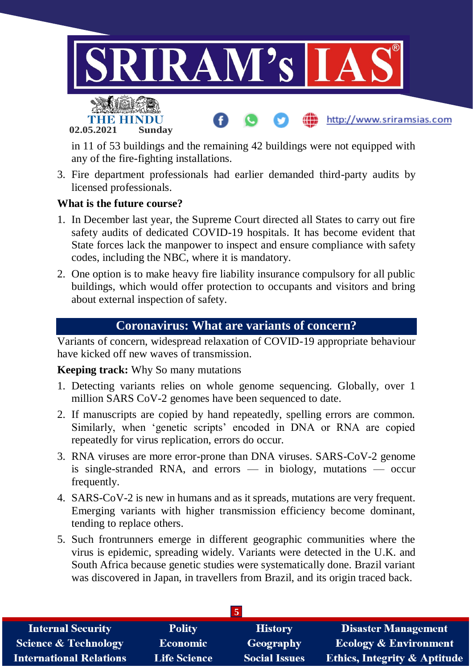

in 11 of 53 buildings and the remaining 42 buildings were not equipped with any of the fire-fighting installations.

3. Fire department professionals had earlier demanded third-party audits by licensed professionals.

#### **What is the future course?**

**02.05.2021 Sunday**

- 1. In December last year, the Supreme Court directed all States to carry out fire safety audits of dedicated COVID-19 hospitals. It has become evident that State forces lack the manpower to inspect and ensure compliance with safety codes, including the NBC, where it is mandatory.
- 2. One option is to make heavy fire liability insurance compulsory for all public buildings, which would offer protection to occupants and visitors and bring about external inspection of safety.

## **Coronavirus: What are variants of concern?**

Variants of concern, widespread relaxation of COVID-19 appropriate behaviour have kicked off new waves of transmission.

#### **Keeping track:** Why So many mutations

- 1. Detecting variants relies on whole genome sequencing. Globally, over 1 million SARS CoV-2 genomes have been sequenced to date.
- 2. If manuscripts are copied by hand repeatedly, spelling errors are common. Similarly, when 'genetic scripts' encoded in DNA or RNA are copied repeatedly for virus replication, errors do occur.
- 3. RNA viruses are more error-prone than DNA viruses. SARS-CoV-2 genome is single-stranded RNA, and errors  $-$  in biology, mutations  $-$  occur frequently.
- 4. SARS-CoV-2 is new in humans and as it spreads, mutations are very frequent. Emerging variants with higher transmission efficiency become dominant, tending to replace others.
- 5. Such frontrunners emerge in different geographic communities where the virus is epidemic, spreading widely. Variants were detected in the U.K. and South Africa because genetic studies were systematically done. Brazil variant was discovered in Japan, in travellers from Brazil, and its origin traced back.

| <b>Internal Security</b>        | <b>Polity</b>       | <b>History</b>       | Disaster Management                     |  |
|---------------------------------|---------------------|----------------------|-----------------------------------------|--|
| <b>Science &amp; Technology</b> | <b>Economic</b>     | Geography            | <b>Ecology &amp; Environment</b>        |  |
| <b>International Relations</b>  | <b>Life Science</b> | <b>Social Issues</b> | <b>Ethics, Integrity &amp; Aptitude</b> |  |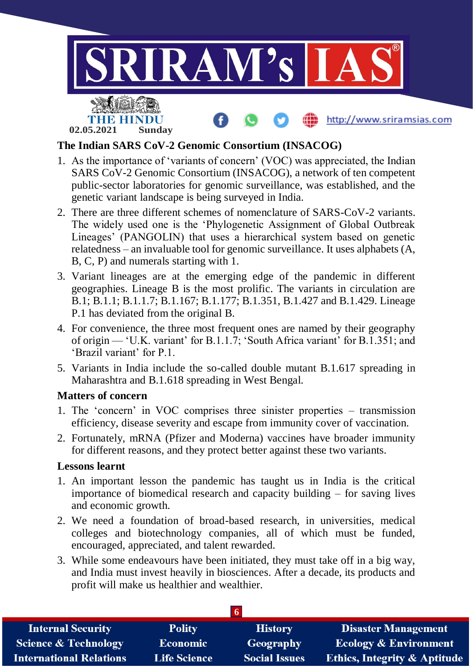

## **The Indian SARS CoV-2 Genomic Consortium (INSACOG)**

- 1. As the importance of 'variants of concern' (VOC) was appreciated, the Indian SARS CoV-2 Genomic Consortium (INSACOG), a network of ten competent public-sector laboratories for genomic surveillance, was established, and the genetic variant landscape is being surveyed in India.
- 2. There are three different schemes of nomenclature of SARS-CoV-2 variants. The widely used one is the 'Phylogenetic Assignment of Global Outbreak Lineages' (PANGOLIN) that uses a hierarchical system based on genetic relatedness – an invaluable tool for genomic surveillance. It uses alphabets (A, B, C, P) and numerals starting with 1.
- 3. Variant lineages are at the emerging edge of the pandemic in different geographies. Lineage B is the most prolific. The variants in circulation are B.1; B.1.1; B.1.1.7; B.1.167; B.1.177; B.1.351, B.1.427 and B.1.429. Lineage P.1 has deviated from the original B.
- 4. For convenience, the three most frequent ones are named by their geography of origin — 'U.K. variant' for B.1.1.7; 'South Africa variant' for B.1.351; and 'Brazil variant' for P.1.
- 5. Variants in India include the so-called double mutant B.1.617 spreading in Maharashtra and B.1.618 spreading in West Bengal.

#### **Matters of concern**

- 1. The 'concern' in VOC comprises three sinister properties transmission efficiency, disease severity and escape from immunity cover of vaccination.
- 2. Fortunately, mRNA (Pfizer and Moderna) vaccines have broader immunity for different reasons, and they protect better against these two variants.

## **Lessons learnt**

- 1. An important lesson the pandemic has taught us in India is the critical importance of biomedical research and capacity building – for saving lives and economic growth.
- 2. We need a foundation of broad-based research, in universities, medical colleges and biotechnology companies, all of which must be funded, encouraged, appreciated, and talent rewarded.
- 3. While some endeavours have been initiated, they must take off in a big way, and India must invest heavily in biosciences. After a decade, its products and profit will make us healthier and wealthier.

| <b>Internal Security</b>        | <b>Polity</b>       | <b>History</b>       | <b>Disaster Management</b>              |  |
|---------------------------------|---------------------|----------------------|-----------------------------------------|--|
| <b>Science &amp; Technology</b> | <b>Economic</b>     | Geography            | <b>Ecology &amp; Environment</b>        |  |
| <b>International Relations</b>  | <b>Life Science</b> | <b>Social Issues</b> | <b>Ethics, Integrity &amp; Aptitude</b> |  |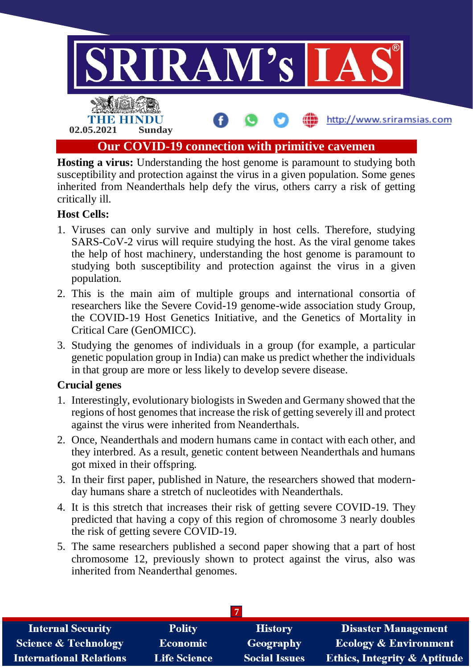

**Hosting a virus:** Understanding the host genome is paramount to studying both susceptibility and protection against the virus in a given population. Some genes inherited from Neanderthals help defy the virus, others carry a risk of getting critically ill.

## **Host Cells:**

- 1. Viruses can only survive and multiply in host cells. Therefore, studying SARS-CoV-2 virus will require studying the host. As the viral genome takes the help of host machinery, understanding the host genome is paramount to studying both susceptibility and protection against the virus in a given population.
- 2. This is the main aim of multiple groups and international consortia of researchers like the Severe Covid-19 genome-wide association study Group, the COVID-19 Host Genetics Initiative, and the Genetics of Mortality in Critical Care (GenOMICC).
- 3. Studying the genomes of individuals in a group (for example, a particular genetic population group in India) can make us predict whether the individuals in that group are more or less likely to develop severe disease.

## **Crucial genes**

- 1. Interestingly, evolutionary biologists in Sweden and Germany showed that the regions of host genomes that increase the risk of getting severely ill and protect against the virus were inherited from Neanderthals.
- 2. Once, Neanderthals and modern humans came in contact with each other, and they interbred. As a result, genetic content between Neanderthals and humans got mixed in their offspring.
- 3. In their first paper, published in Nature, the researchers showed that modernday humans share a stretch of nucleotides with Neanderthals.
- 4. It is this stretch that increases their risk of getting severe COVID-19. They predicted that having a copy of this region of chromosome 3 nearly doubles the risk of getting severe COVID-19.
- 5. The same researchers published a second paper showing that a part of host chromosome 12, previously shown to protect against the virus, also was inherited from Neanderthal genomes.

| <b>Internal Security</b>        | <b>Polity</b>       | <b>History</b>       | <b>Disaster Management</b>              |  |
|---------------------------------|---------------------|----------------------|-----------------------------------------|--|
| <b>Science &amp; Technology</b> | <b>Economic</b>     | Geography            | <b>Ecology &amp; Environment</b>        |  |
| <b>International Relations</b>  | <b>Life Science</b> | <b>Social Issues</b> | <b>Ethics, Integrity &amp; Aptitude</b> |  |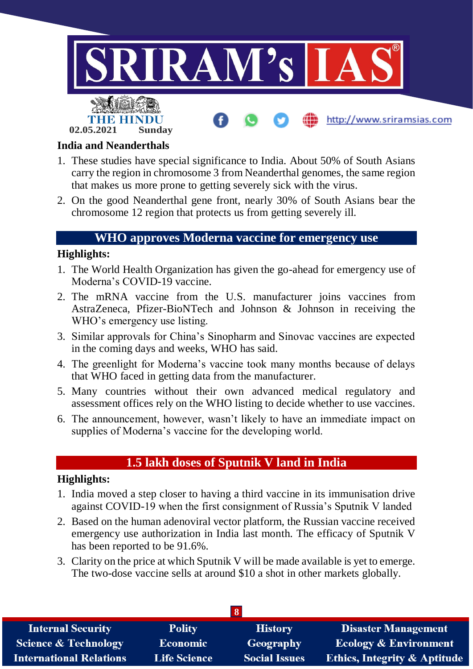

#### **India and Neanderthals**

- 1. These studies have special significance to India. About 50% of South Asians carry the region in chromosome 3 from Neanderthal genomes, the same region that makes us more prone to getting severely sick with the virus.
- 2. On the good Neanderthal gene front, nearly 30% of South Asians bear the chromosome 12 region that protects us from getting severely ill.

## **WHO approves Moderna vaccine for emergency use**

## **Highlights:**

- 1. The World Health Organization has given the go-ahead for emergency use of Moderna's COVID-19 vaccine.
- 2. The mRNA vaccine from the U.S. manufacturer joins vaccines from AstraZeneca, Pfizer-BioNTech and Johnson & Johnson in receiving the WHO's emergency use listing.
- 3. Similar approvals for China's Sinopharm and Sinovac vaccines are expected in the coming days and weeks, WHO has said.
- 4. The greenlight for Moderna's vaccine took many months because of delays that WHO faced in getting data from the manufacturer.
- 5. Many countries without their own advanced medical regulatory and assessment offices rely on the WHO listing to decide whether to use vaccines.
- 6. The announcement, however, wasn't likely to have an immediate impact on supplies of Moderna's vaccine for the developing world.

## **1.5 lakh doses of Sputnik V land in India**

## **Highlights:**

- 1. India moved a step closer to having a third vaccine in its immunisation drive against COVID-19 when the first consignment of Russia's Sputnik V landed
- 2. Based on the human adenoviral vector platform, the Russian vaccine received emergency use authorization in India last month. The efficacy of Sputnik V has been reported to be 91.6%.
- 3. Clarity on the price at which Sputnik V will be made available is yet to emerge. The two-dose vaccine sells at around \$10 a shot in other markets globally.

| <b>Internal Security</b>        | <b>Polity</b>       | <b>History</b>       | <b>Disaster Management</b>              |  |  |
|---------------------------------|---------------------|----------------------|-----------------------------------------|--|--|
| <b>Science &amp; Technology</b> | <b>Economic</b>     | Geography            | <b>Ecology &amp; Environment</b>        |  |  |
| <b>International Relations</b>  | <b>Life Science</b> | <b>Social Issues</b> | <b>Ethics, Integrity &amp; Aptitude</b> |  |  |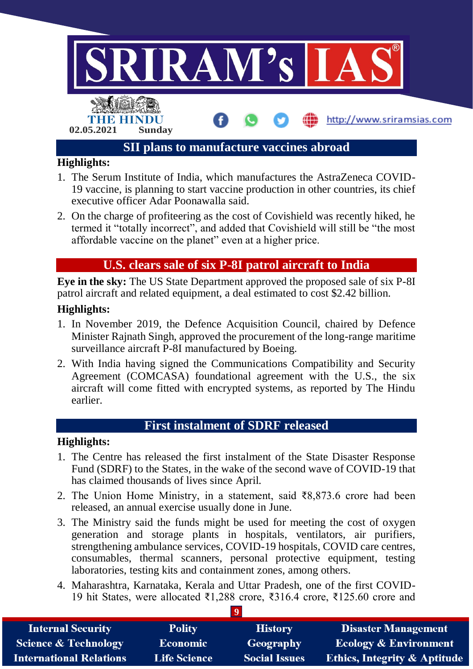

- 1. The Serum Institute of India, which manufactures the AstraZeneca COVID-19 vaccine, is planning to start vaccine production in other countries, its chief executive officer Adar Poonawalla said.
- 2. On the charge of profiteering as the cost of Covishield was recently hiked, he termed it "totally incorrect", and added that Covishield will still be "the most affordable vaccine on the planet" even at a higher price.

## **U.S. clears sale of six P-8I patrol aircraft to India**

**Eye in the sky:** The US State Department approved the proposed sale of six P-8I patrol aircraft and related equipment, a deal estimated to cost \$2.42 billion.

## **Highlights:**

- 1. In November 2019, the Defence Acquisition Council, chaired by Defence Minister Rajnath Singh, approved the procurement of the long-range maritime surveillance aircraft P-8I manufactured by Boeing.
- 2. With India having signed the Communications Compatibility and Security Agreement (COMCASA) foundational agreement with the U.S., the six aircraft will come fitted with encrypted systems, as reported by The Hindu earlier.

## **First instalment of SDRF released**

## **Highlights:**

- 1. The Centre has released the first instalment of the State Disaster Response Fund (SDRF) to the States, in the wake of the second wave of COVID-19 that has claimed thousands of lives since April.
- 2. The Union Home Ministry, in a statement, said ₹8,873.6 crore had been released, an annual exercise usually done in June.
- 3. The Ministry said the funds might be used for meeting the cost of oxygen generation and storage plants in hospitals, ventilators, air purifiers, strengthening ambulance services, COVID-19 hospitals, COVID care centres, consumables, thermal scanners, personal protective equipment, testing laboratories, testing kits and containment zones, among others.
- 4. Maharashtra, Karnataka, Kerala and Uttar Pradesh, one of the first COVID-19 hit States, were allocated ₹1,288 crore, ₹316.4 crore, ₹125.60 crore and

| <b>Internal Security</b>        | <b>Polity</b>       | <b>History</b>       | <b>Disaster Management</b>              |  |  |
|---------------------------------|---------------------|----------------------|-----------------------------------------|--|--|
| <b>Science &amp; Technology</b> | <b>Economic</b>     | Geography            | <b>Ecology &amp; Environment</b>        |  |  |
| <b>International Relations</b>  | <b>Life Science</b> | <b>Social Issues</b> | <b>Ethics, Integrity &amp; Aptitude</b> |  |  |